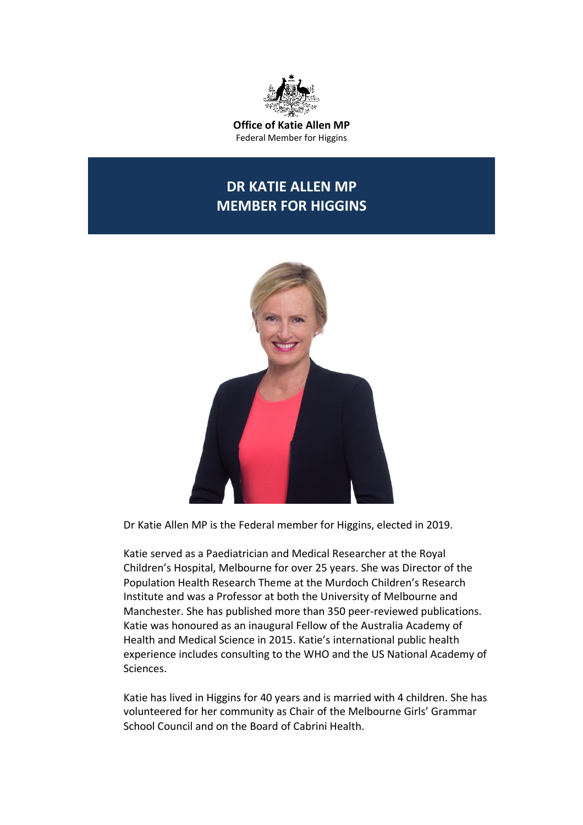

**Office of Katie Allen MP** Federal Member for Higgins

## **DR KATIE ALLEN MP MEMBER FOR HIGGINS**



Dr Katie Allen MP is the Federal member for Higgins, elected in 2019.

Katie served as a Paediatrician and Medical Researcher at the Royal Children's Hospital, Melbourne for over 25 years. She was Director of the Population Health Research Theme at the Murdoch Children's Research Institute and was a Professor at both the University of Melbourne and Manchester. She has published more than 350 peer-reviewed publications. Katie was honoured as an inaugural Fellow of the Australia Academy of Health and Medical Science in 2015. Katie's international public health experience includes consulting to the WHO and the US National Academy of Sciences.

Katie has lived in Higgins for 40 years and is married with 4 children. She has volunteered for her community as Chair of the Melbourne Girls' Grammar School Council and on the Board of Cabrini Health.